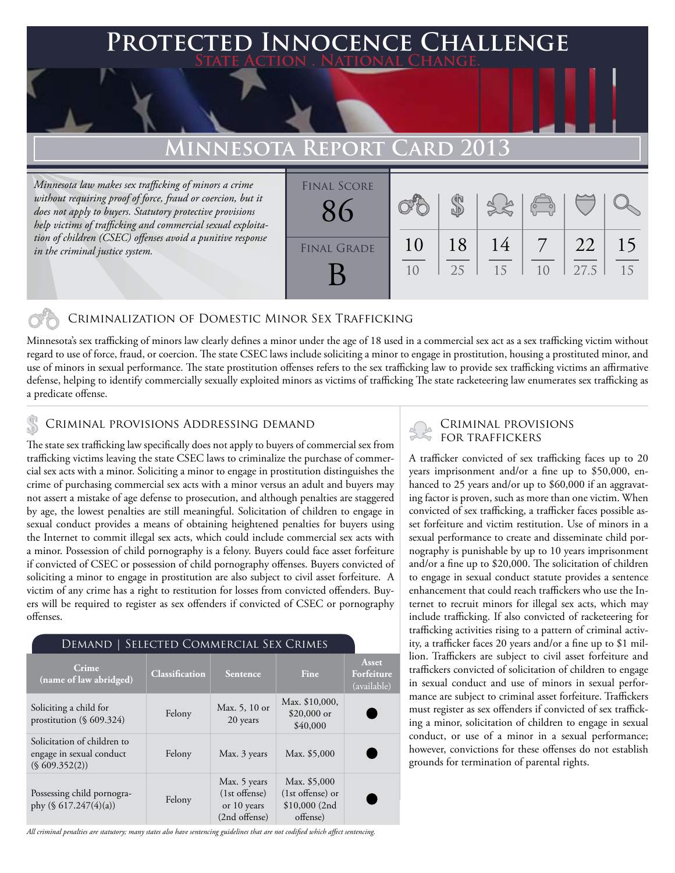### **FED INNOCENCE CHALLENGE State Action . National Change.**

### **Minnesota Report Card 2013**

*Minnesota law makes sex trafficking of minors a crime without requiring proof of force, fraud or coercion, but it does not apply to buyers. Statutory protective provisions help victims of trafficking and commercial sexual exploitation of children (CSEC) offenses avoid a punitive response in the criminal justice system.*

| <b>FINAL SCORE</b> |          |          |          | $\overline{\mathsf{R}}$ |            |          |
|--------------------|----------|----------|----------|-------------------------|------------|----------|
| <b>FINAL GRADE</b> | 10<br>10 | 18<br>25 | 14<br>15 | 10                      | 22<br>27.5 | 15<br>15 |

### Criminalization of Domestic Minor Sex Trafficking

Minnesota's sex trafficking of minors law clearly defines a minor under the age of 18 used in a commercial sex act as a sex trafficking victim without regard to use of force, fraud, or coercion. The state CSEC laws include soliciting a minor to engage in prostitution, housing a prostituted minor, and use of minors in sexual performance. The state prostitution offenses refers to the sex trafficking law to provide sex trafficking victims an affirmative defense, helping to identify commercially sexually exploited minors as victims of trafficking The state racketeering law enumerates sex trafficking as a predicate offense.

## CRIMINAL PROVISIONS ADDRESSING DEMAND<br>FOR TRAFFICKERS

The state sex trafficking law specifically does not apply to buyers of commercial sex from trafficking victims leaving the state CSEC laws to criminalize the purchase of commercial sex acts with a minor. Soliciting a minor to engage in prostitution distinguishes the crime of purchasing commercial sex acts with a minor versus an adult and buyers may not assert a mistake of age defense to prosecution, and although penalties are staggered by age, the lowest penalties are still meaningful. Solicitation of children to engage in sexual conduct provides a means of obtaining heightened penalties for buyers using the Internet to commit illegal sex acts, which could include commercial sex acts with a minor. Possession of child pornography is a felony. Buyers could face asset forfeiture if convicted of CSEC or possession of child pornography offenses. Buyers convicted of soliciting a minor to engage in prostitution are also subject to civil asset forfeiture. A victim of any crime has a right to restitution for losses from convicted offenders. Buyers will be required to register as sex offenders if convicted of CSEC or pornography offenses.

|  | Demand   Selected Commercial Sex Crimes' |
|--|------------------------------------------|
|  |                                          |

| Crime<br>(name of law abridged)                                          | <b>Classification</b> | <b>Sentence</b>                                                 | Fine                                                           | Asset<br>Forfeiture<br>(available) |
|--------------------------------------------------------------------------|-----------------------|-----------------------------------------------------------------|----------------------------------------------------------------|------------------------------------|
| Soliciting a child for<br>prostitution $(\S 609.324)$                    | Felony                | Max. 5, 10 or<br>20 years                                       | Max. \$10,000,<br>$$20,000$ or<br>\$40,000                     |                                    |
| Solicitation of children to<br>engage in sexual conduct<br>(S609.352(2)) | Felony                | Max. 3 years                                                    | Max. \$5,000                                                   |                                    |
| Possessing child pornogra-<br>phy $(\S 617.247(4)(a))$                   | Felony                | Max. 5 years<br>$(1st$ offense)<br>or 10 years<br>(2nd offense) | Max. \$5,000<br>(1st offense) or<br>$$10,000$ (2nd<br>offense) |                                    |

# Criminal provisions

A trafficker convicted of sex trafficking faces up to 20 years imprisonment and/or a fine up to \$50,000, enhanced to 25 years and/or up to \$60,000 if an aggravating factor is proven, such as more than one victim. When convicted of sex trafficking, a trafficker faces possible asset forfeiture and victim restitution. Use of minors in a sexual performance to create and disseminate child pornography is punishable by up to 10 years imprisonment and/or a fine up to \$20,000. The solicitation of children to engage in sexual conduct statute provides a sentence enhancement that could reach traffickers who use the Internet to recruit minors for illegal sex acts, which may include trafficking. If also convicted of racketeering for trafficking activities rising to a pattern of criminal activity, a trafficker faces 20 years and/or a fine up to \$1 million. Traffickers are subject to civil asset forfeiture and traffickers convicted of solicitation of children to engage in sexual conduct and use of minors in sexual performance are subject to criminal asset forfeiture. Traffickers must register as sex offenders if convicted of sex trafficking a minor, solicitation of children to engage in sexual conduct, or use of a minor in a sexual performance; however, convictions for these offenses do not establish grounds for termination of parental rights.

*All criminal penalties are statutory; many states also have sentencing guidelines that are not codified which affect sentencing.*